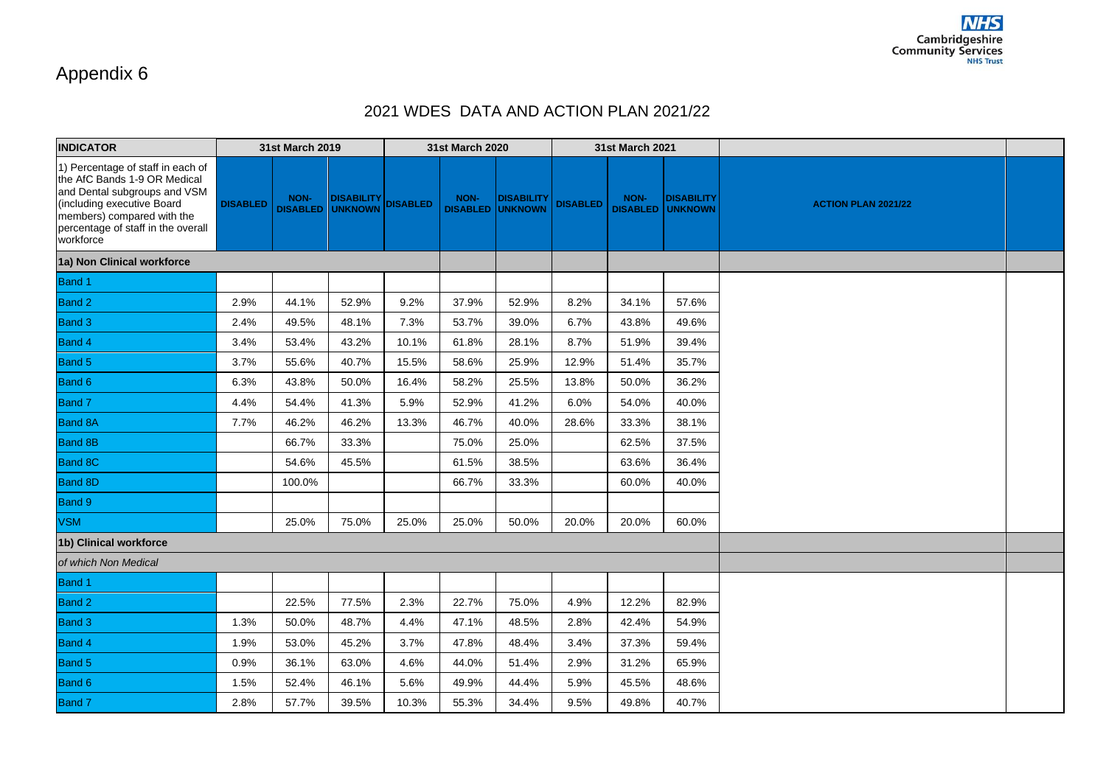## Appendix 6

## 2021 WDES DATA AND ACTION PLAN 2021/22

| <b>INDICATOR</b>                                                                                                                                                                                                 |                 | <b>31st March 2019</b>  |                                     |                 | <b>31st March 2020</b> |                                              |                 | <b>31st March 2021</b>  |                              |                            |  |
|------------------------------------------------------------------------------------------------------------------------------------------------------------------------------------------------------------------|-----------------|-------------------------|-------------------------------------|-----------------|------------------------|----------------------------------------------|-----------------|-------------------------|------------------------------|----------------------------|--|
| 1) Percentage of staff in each of<br>the AfC Bands 1-9 OR Medical<br>and Dental subgroups and VSM<br>(including executive Board<br>members) compared with the<br>percentage of staff in the overall<br>workforce | <b>DISABLED</b> | NON-<br><b>DISABLED</b> | <b>DISABILITY</b><br><b>UNKNOWN</b> | <b>DISABLED</b> | NON-                   | <b>DISABILITY</b><br><b>DISABLED UNKNOWN</b> | <b>DISABLED</b> | NON-<br><b>DISABLED</b> | <b>DISABILITY</b><br>UNKNOWN | <b>ACTION PLAN 2021/22</b> |  |
| 1a) Non Clinical workforce                                                                                                                                                                                       |                 |                         |                                     |                 |                        |                                              |                 |                         |                              |                            |  |
| Band 1                                                                                                                                                                                                           |                 |                         |                                     |                 |                        |                                              |                 |                         |                              |                            |  |
| <b>Band 2</b>                                                                                                                                                                                                    | 2.9%            | 44.1%                   | 52.9%                               | 9.2%            | 37.9%                  | 52.9%                                        | 8.2%            | 34.1%                   | 57.6%                        |                            |  |
| Band <sub>3</sub>                                                                                                                                                                                                | 2.4%            | 49.5%                   | 48.1%                               | 7.3%            | 53.7%                  | 39.0%                                        | 6.7%            | 43.8%                   | 49.6%                        |                            |  |
| Band 4                                                                                                                                                                                                           | 3.4%            | 53.4%                   | 43.2%                               | 10.1%           | 61.8%                  | 28.1%                                        | 8.7%            | 51.9%                   | 39.4%                        |                            |  |
| Band 5                                                                                                                                                                                                           | 3.7%            | 55.6%                   | 40.7%                               | 15.5%           | 58.6%                  | 25.9%                                        | 12.9%           | 51.4%                   | 35.7%                        |                            |  |
| Band 6                                                                                                                                                                                                           | 6.3%            | 43.8%                   | 50.0%                               | 16.4%           | 58.2%                  | 25.5%                                        | 13.8%           | 50.0%                   | 36.2%                        |                            |  |
| Band 7                                                                                                                                                                                                           | 4.4%            | 54.4%                   | 41.3%                               | 5.9%            | 52.9%                  | 41.2%                                        | 6.0%            | 54.0%                   | 40.0%                        |                            |  |
| <b>Band 8A</b>                                                                                                                                                                                                   | 7.7%            | 46.2%                   | 46.2%                               | 13.3%           | 46.7%                  | 40.0%                                        | 28.6%           | 33.3%                   | 38.1%                        |                            |  |
| <b>Band 8B</b>                                                                                                                                                                                                   |                 | 66.7%                   | 33.3%                               |                 | 75.0%                  | 25.0%                                        |                 | 62.5%                   | 37.5%                        |                            |  |
| <b>Band 8C</b>                                                                                                                                                                                                   |                 | 54.6%                   | 45.5%                               |                 | 61.5%                  | 38.5%                                        |                 | 63.6%                   | 36.4%                        |                            |  |
| Band 8D                                                                                                                                                                                                          |                 | 100.0%                  |                                     |                 | 66.7%                  | 33.3%                                        |                 | 60.0%                   | 40.0%                        |                            |  |
| Band 9                                                                                                                                                                                                           |                 |                         |                                     |                 |                        |                                              |                 |                         |                              |                            |  |
| <b>VSM</b>                                                                                                                                                                                                       |                 | 25.0%                   | 75.0%                               | 25.0%           | 25.0%                  | 50.0%                                        | 20.0%           | 20.0%                   | 60.0%                        |                            |  |
| 1b) Clinical workforce                                                                                                                                                                                           |                 |                         |                                     |                 |                        |                                              |                 |                         |                              |                            |  |
| of which Non Medical                                                                                                                                                                                             |                 |                         |                                     |                 |                        |                                              |                 |                         |                              |                            |  |
| <b>Band 1</b>                                                                                                                                                                                                    |                 |                         |                                     |                 |                        |                                              |                 |                         |                              |                            |  |
| <b>Band 2</b>                                                                                                                                                                                                    |                 | 22.5%                   | 77.5%                               | 2.3%            | 22.7%                  | 75.0%                                        | 4.9%            | 12.2%                   | 82.9%                        |                            |  |
| <b>Band 3</b>                                                                                                                                                                                                    | 1.3%            | 50.0%                   | 48.7%                               | 4.4%            | 47.1%                  | 48.5%                                        | 2.8%            | 42.4%                   | 54.9%                        |                            |  |
| Band 4                                                                                                                                                                                                           | 1.9%            | 53.0%                   | 45.2%                               | 3.7%            | 47.8%                  | 48.4%                                        | 3.4%            | 37.3%                   | 59.4%                        |                            |  |
| <b>Band 5</b>                                                                                                                                                                                                    | 0.9%            | 36.1%                   | 63.0%                               | 4.6%            | 44.0%                  | 51.4%                                        | 2.9%            | 31.2%                   | 65.9%                        |                            |  |
| Band 6                                                                                                                                                                                                           | 1.5%            | 52.4%                   | 46.1%                               | 5.6%            | 49.9%                  | 44.4%                                        | 5.9%            | 45.5%                   | 48.6%                        |                            |  |
| Band 7                                                                                                                                                                                                           | 2.8%            | 57.7%                   | 39.5%                               | 10.3%           | 55.3%                  | 34.4%                                        | 9.5%            | 49.8%                   | 40.7%                        |                            |  |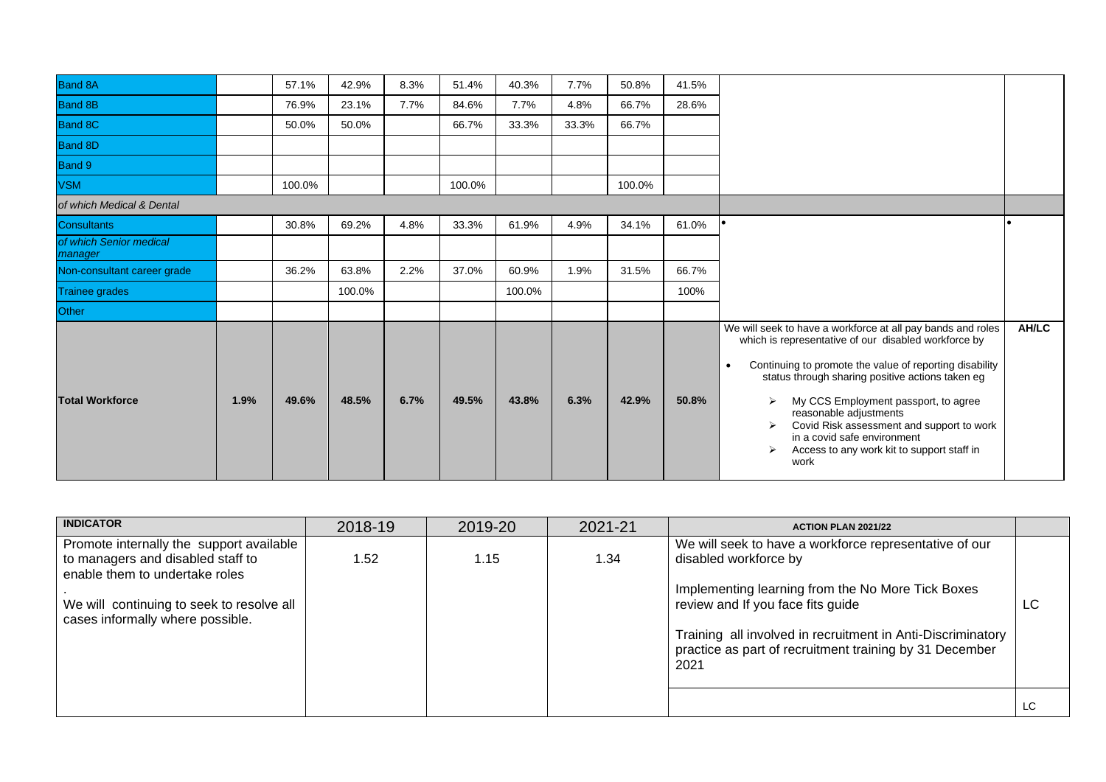| <b>Band 8A</b>                     |      | 57.1%  | 42.9%  | 8.3% | 51.4%  | 40.3%  | 7.7%  | 50.8%  | 41.5% |                                                                                                                                                                                                                                                                                                                                                                                                                                                                    |       |
|------------------------------------|------|--------|--------|------|--------|--------|-------|--------|-------|--------------------------------------------------------------------------------------------------------------------------------------------------------------------------------------------------------------------------------------------------------------------------------------------------------------------------------------------------------------------------------------------------------------------------------------------------------------------|-------|
| <b>Band 8B</b>                     |      | 76.9%  | 23.1%  | 7.7% | 84.6%  | 7.7%   | 4.8%  | 66.7%  | 28.6% |                                                                                                                                                                                                                                                                                                                                                                                                                                                                    |       |
| <b>Band 8C</b>                     |      | 50.0%  | 50.0%  |      | 66.7%  | 33.3%  | 33.3% | 66.7%  |       |                                                                                                                                                                                                                                                                                                                                                                                                                                                                    |       |
| Band 8D                            |      |        |        |      |        |        |       |        |       |                                                                                                                                                                                                                                                                                                                                                                                                                                                                    |       |
| Band 9                             |      |        |        |      |        |        |       |        |       |                                                                                                                                                                                                                                                                                                                                                                                                                                                                    |       |
| <b>VSM</b>                         |      | 100.0% |        |      | 100.0% |        |       | 100.0% |       |                                                                                                                                                                                                                                                                                                                                                                                                                                                                    |       |
| of which Medical & Dental          |      |        |        |      |        |        |       |        |       |                                                                                                                                                                                                                                                                                                                                                                                                                                                                    |       |
| <b>Consultants</b>                 |      | 30.8%  | 69.2%  | 4.8% | 33.3%  | 61.9%  | 4.9%  | 34.1%  | 61.0% |                                                                                                                                                                                                                                                                                                                                                                                                                                                                    |       |
| of which Senior medical<br>manager |      |        |        |      |        |        |       |        |       |                                                                                                                                                                                                                                                                                                                                                                                                                                                                    |       |
| Non-consultant career grade        |      | 36.2%  | 63.8%  | 2.2% | 37.0%  | 60.9%  | 1.9%  | 31.5%  | 66.7% |                                                                                                                                                                                                                                                                                                                                                                                                                                                                    |       |
| <b>Trainee grades</b>              |      |        | 100.0% |      |        | 100.0% |       |        | 100%  |                                                                                                                                                                                                                                                                                                                                                                                                                                                                    |       |
| Other                              |      |        |        |      |        |        |       |        |       |                                                                                                                                                                                                                                                                                                                                                                                                                                                                    |       |
| <b>Total Workforce</b>             | 1.9% | 49.6%  | 48.5%  | 6.7% | 49.5%  | 43.8%  | 6.3%  | 42.9%  | 50.8% | We will seek to have a workforce at all pay bands and roles<br>which is representative of our disabled workforce by<br>Continuing to promote the value of reporting disability<br>$\bullet$<br>status through sharing positive actions taken eg<br>My CCS Employment passport, to agree<br>⋗<br>reasonable adjustments<br>Covid Risk assessment and support to work<br>↘<br>in a covid safe environment<br>Access to any work kit to support staff in<br>⋗<br>work | AH/LC |

| <b>INDICATOR</b>                          | 2018-19 | 2019-20 | 2021-21 | <b>ACTION PLAN 2021/22</b>                                      |    |
|-------------------------------------------|---------|---------|---------|-----------------------------------------------------------------|----|
| Promote internally the support available  |         |         |         | We will seek to have a workforce representative of our          |    |
| to managers and disabled staff to         | 1.52    | 1.15    | 1.34    | disabled workforce by                                           |    |
| enable them to undertake roles            |         |         |         | Implementing learning from the No More Tick Boxes               |    |
| We will continuing to seek to resolve all |         |         |         | review and If you face fits guide                               | LC |
| cases informally where possible.          |         |         |         |                                                                 |    |
|                                           |         |         |         | Training all involved in recruitment in Anti-Discriminatory     |    |
|                                           |         |         |         | practice as part of recruitment training by 31 December<br>2021 |    |
|                                           |         |         |         |                                                                 |    |
|                                           |         |         |         |                                                                 |    |
|                                           |         |         |         |                                                                 | LC |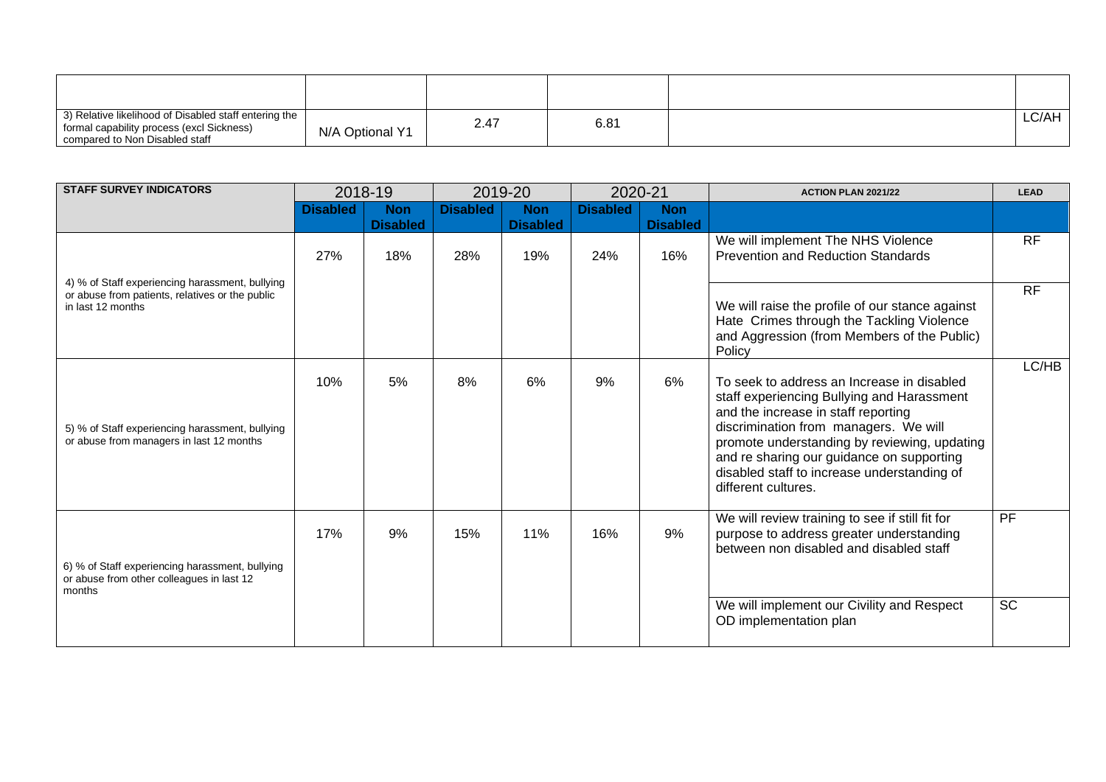| 3) Relative likelihood of Disabled staff entering the<br>formal capability process (excl Sickness)<br>compared to Non Disabled staff | N/A Optional Y1 | 2.47 | $6.8^{\prime}$ | LC/AH |
|--------------------------------------------------------------------------------------------------------------------------------------|-----------------|------|----------------|-------|

| <b>STAFF SURVEY INDICATORS</b>                                                                         |                 | 2018-19                |                 | 2019-20                | 2020-21         |                        | <b>ACTION PLAN 2021/22</b>                                                                                                                                                                                                                                                                                                                  | <b>LEAD</b> |
|--------------------------------------------------------------------------------------------------------|-----------------|------------------------|-----------------|------------------------|-----------------|------------------------|---------------------------------------------------------------------------------------------------------------------------------------------------------------------------------------------------------------------------------------------------------------------------------------------------------------------------------------------|-------------|
|                                                                                                        | <b>Disabled</b> | <b>Non</b>             | <b>Disabled</b> | <b>Non</b>             | <b>Disabled</b> | <b>Non</b>             |                                                                                                                                                                                                                                                                                                                                             |             |
|                                                                                                        | 27%             | <b>Disabled</b><br>18% | 28%             | <b>Disabled</b><br>19% | 24%             | <b>Disabled</b><br>16% | We will implement The NHS Violence<br><b>Prevention and Reduction Standards</b>                                                                                                                                                                                                                                                             | <b>RF</b>   |
| 4) % of Staff experiencing harassment, bullying                                                        |                 |                        |                 |                        |                 |                        |                                                                                                                                                                                                                                                                                                                                             |             |
| or abuse from patients, relatives or the public<br>in last 12 months                                   |                 |                        |                 |                        |                 |                        | We will raise the profile of our stance against<br>Hate Crimes through the Tackling Violence<br>and Aggression (from Members of the Public)<br>Policy                                                                                                                                                                                       | <b>RF</b>   |
| 5) % of Staff experiencing harassment, bullying<br>or abuse from managers in last 12 months            | 10%             | 5%                     | 8%              | 6%                     | 9%              | 6%                     | To seek to address an Increase in disabled<br>staff experiencing Bullying and Harassment<br>and the increase in staff reporting<br>discrimination from managers. We will<br>promote understanding by reviewing, updating<br>and re sharing our guidance on supporting<br>disabled staff to increase understanding of<br>different cultures. | LC/HB       |
| 6) % of Staff experiencing harassment, bullying<br>or abuse from other colleagues in last 12<br>months | 17%             | 9%                     | 15%             | 11%                    | 16%             | 9%                     | We will review training to see if still fit for<br>purpose to address greater understanding<br>between non disabled and disabled staff                                                                                                                                                                                                      | PF          |
|                                                                                                        |                 |                        |                 |                        |                 |                        | We will implement our Civility and Respect<br>OD implementation plan                                                                                                                                                                                                                                                                        | <b>SC</b>   |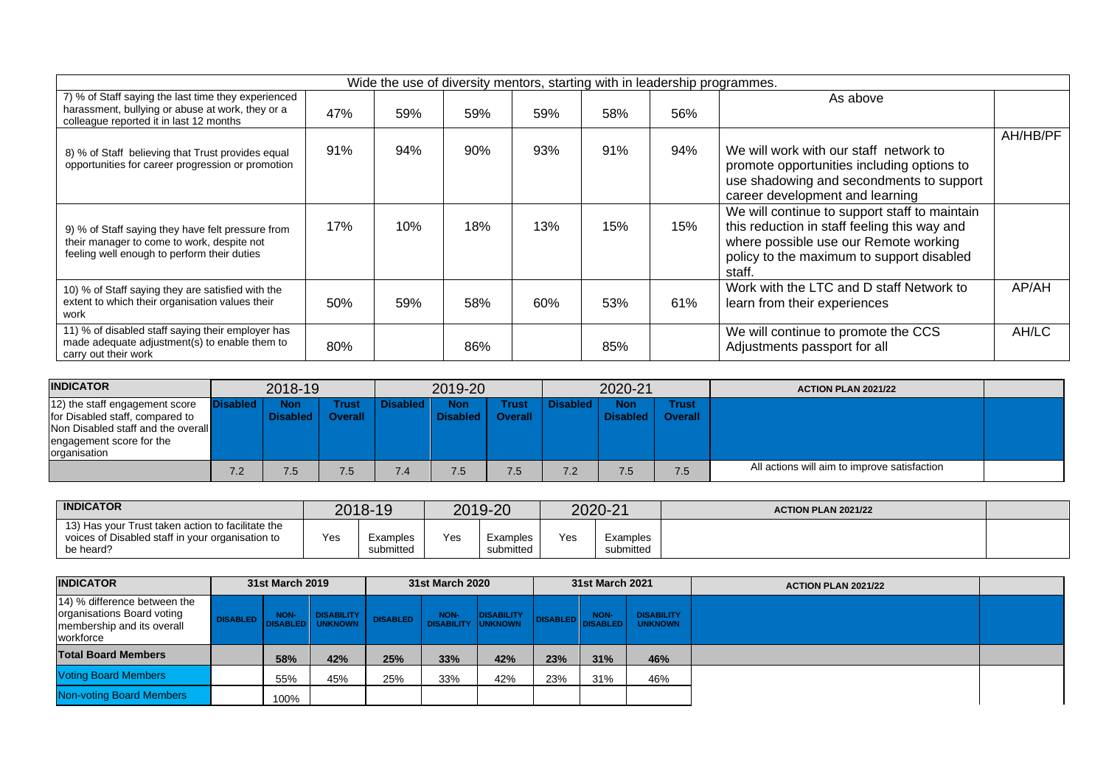|                                                                                                                                                    |     | Wide the use of diversity mentors, starting with in leadership programmes. |     |     |     |     |                                                                                                                                                                                               |          |
|----------------------------------------------------------------------------------------------------------------------------------------------------|-----|----------------------------------------------------------------------------|-----|-----|-----|-----|-----------------------------------------------------------------------------------------------------------------------------------------------------------------------------------------------|----------|
| 7) % of Staff saying the last time they experienced<br>harassment, bullying or abuse at work, they or a<br>colleague reported it in last 12 months | 47% | 59%                                                                        | 59% | 59% | 58% | 56% | As above                                                                                                                                                                                      |          |
| 8) % of Staff believing that Trust provides equal<br>opportunities for career progression or promotion                                             | 91% | 94%                                                                        | 90% | 93% | 91% | 94% | We will work with our staff network to<br>promote opportunities including options to<br>use shadowing and secondments to support<br>career development and learning                           | AH/HB/PF |
| 9) % of Staff saying they have felt pressure from<br>their manager to come to work, despite not<br>feeling well enough to perform their duties     | 17% | 10%                                                                        | 18% | 13% | 15% | 15% | We will continue to support staff to maintain<br>this reduction in staff feeling this way and<br>where possible use our Remote working<br>policy to the maximum to support disabled<br>staff. |          |
| 10) % of Staff saying they are satisfied with the<br>extent to which their organisation values their<br>work                                       | 50% | 59%                                                                        | 58% | 60% | 53% | 61% | Work with the LTC and D staff Network to<br>learn from their experiences                                                                                                                      | AP/AH    |
| 11) % of disabled staff saying their employer has<br>made adequate adjustment(s) to enable them to<br>carry out their work                         | 80% |                                                                            | 86% |     | 85% |     | We will continue to promote the CCS<br>Adjustments passport for all                                                                                                                           | AH/LC    |

| <b>INDICATOR</b>                                                                                                                                    |          | 2018-19         |                         |          | 2019-20                |                  |                 | 2020-21                          |              | <b>ACTION PLAN 2021/22</b>                   |  |
|-----------------------------------------------------------------------------------------------------------------------------------------------------|----------|-----------------|-------------------------|----------|------------------------|------------------|-----------------|----------------------------------|--------------|----------------------------------------------|--|
| 12) the staff engagement score<br>for Disabled staff, compared to<br>Non Disabled staff and the overall<br>engagement score for the<br>organisation | Disabled | Non<br>Disabled | Trust<br><b>Overall</b> | Disabled | <b>Non</b><br>Disabled | Trust<br>Overall | <b>Disabled</b> | <b>Non</b><br>Disabled   Overall | <b>Trust</b> |                                              |  |
|                                                                                                                                                     | 7.2      | 7.5             | 7.5.                    | 7.4      | 7.5                    | 7.5              | 7.2             | 7.5                              | 7.5          | All actions will aim to improve satisfaction |  |

| <b>INDICATOR</b>                                                                                                   |     | 2018-19               |     | 2019-20               |     | 2020-21               | <b>ACTION PLAN 2021/22</b> |  |
|--------------------------------------------------------------------------------------------------------------------|-----|-----------------------|-----|-----------------------|-----|-----------------------|----------------------------|--|
| 13) Has your Trust taken action to facilitate the<br>voices of Disabled staff in your organisation to<br>be heard? | Yes | Examples<br>submitted | Yes | Examples<br>submitted | Yes | Examples<br>submitted |                            |  |

| <b>INDICATOR</b>                                                                                      | 31st March 2019 |                                   |     | 31st March 2020 |                 |            | 31st March 2021 |                                              | <b>ACTION PLAN 2021/22</b> |  |
|-------------------------------------------------------------------------------------------------------|-----------------|-----------------------------------|-----|-----------------|-----------------|------------|-----------------|----------------------------------------------|----------------------------|--|
| 14) % difference between the<br>organisations Board voting<br>membership and its overall<br>workforce |                 | DISABLED NON- DISABILITY DISABLED |     |                 | NON- DISABILITY | DISABLED . | NON-            | <b>DISABILITY</b><br><b>DISABLED UNKNOWN</b> |                            |  |
| <b>Total Board Members</b>                                                                            | 58%             | 42%                               | 25% | 33%             | 42%             | 23%        | 31%             | 46%                                          |                            |  |
| <b>Voting Board Members</b>                                                                           | 55%             | 45%                               | 25% | 33%             | 42%             | 23%        | 31%             | 46%                                          |                            |  |
| <b>Non-voting Board Members</b>                                                                       | 100%            |                                   |     |                 |                 |            |                 |                                              |                            |  |